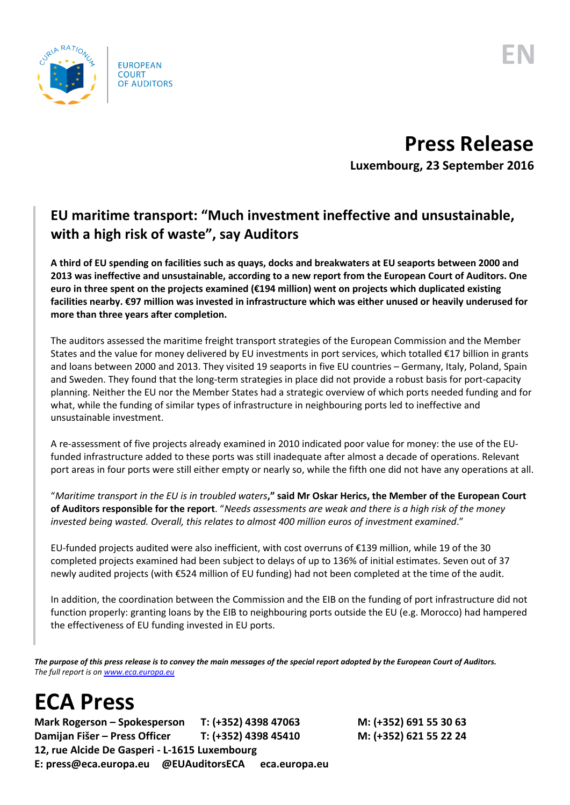

## **Press Release**

**Luxembourg, 23 September 2016**

## **EU maritime transport: "Much investment ineffective and unsustainable, with a high risk of waste", say Auditors**

**A third of EU spending on facilities such as quays, docks and breakwaters at EU seaports between 2000 and 2013 was ineffective and unsustainable, according to a new report from the European Court of Auditors. One euro in three spent on the projects examined (€194 million) went on projects which duplicated existing facilities nearby. €97 million was invested in infrastructure which was either unused or heavily underused for more than three years after completion.** 

The auditors assessed the maritime freight transport strategies of the European Commission and the Member States and the value for money delivered by EU investments in port services, which totalled €17 billion in grants and loans between 2000 and 2013. They visited 19 seaports in five EU countries – Germany, Italy, Poland, Spain and Sweden. They found that the long-term strategies in place did not provide a robust basis for port-capacity planning. Neither the EU nor the Member States had a strategic overview of which ports needed funding and for what, while the funding of similar types of infrastructure in neighbouring ports led to ineffective and unsustainable investment.

A re-assessment of five projects already examined in 2010 indicated poor value for money: the use of the EUfunded infrastructure added to these ports was still inadequate after almost a decade of operations. Relevant port areas in four ports were still either empty or nearly so, while the fifth one did not have any operations at all.

"*Maritime transport in the EU is in troubled waters***," said Mr Oskar Herics, the Member of the European Court of Auditors responsible for the report**. "*Needs assessments are weak and there is a high risk of the money invested being wasted. Overall, this relates to almost 400 million euros of investment examined*."

EU-funded projects audited were also inefficient, with cost overruns of €139 million, while 19 of the 30 completed projects examined had been subject to delays of up to 136% of initial estimates. Seven out of 37 newly audited projects (with €524 million of EU funding) had not been completed at the time of the audit.

In addition, the coordination between the Commission and the EIB on the funding of port infrastructure did not function properly: granting loans by the EIB to neighbouring ports outside the EU (e.g. Morocco) had hampered the effectiveness of EU funding invested in EU ports.

*The purpose of this press release is to convey the main messages of the special report adopted by the European Court of Auditors. The full report is o[n www.eca.europa.eu](http://www.eca.europa.eu/)*

## **ECA Press**

**Mark Rogerson – Spokesperson T: (+352) 4398 47063 M: (+352) 691 55 30 63 Damijan Fišer – Press Officer T: (+352) 4398 45410 M: (+352) 621 55 22 24 12, rue Alcide De Gasperi - L-1615 Luxembourg E: press@eca.europa.eu @EUAuditorsECA eca.europa.eu**